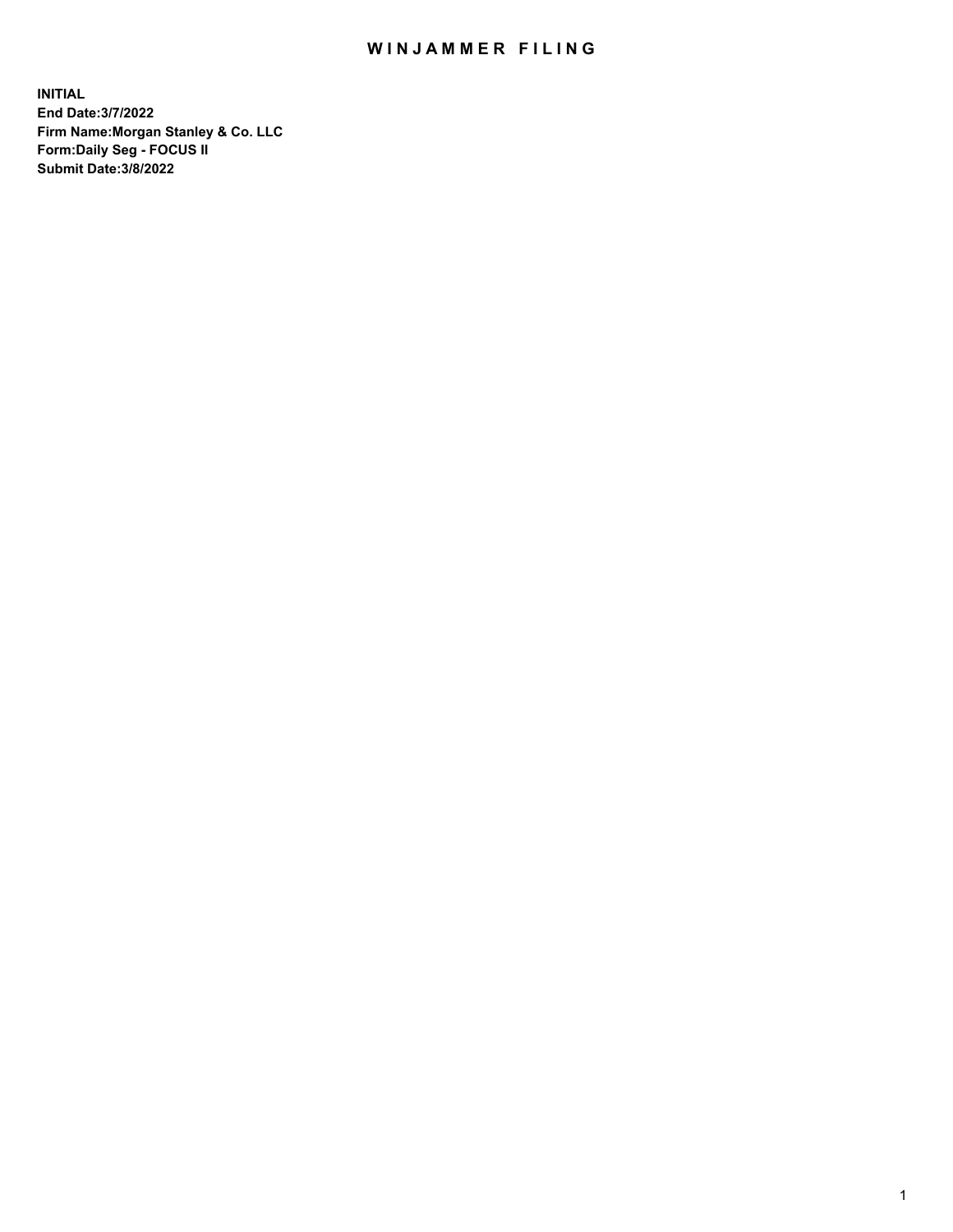## WIN JAMMER FILING

**INITIAL End Date:3/7/2022 Firm Name:Morgan Stanley & Co. LLC Form:Daily Seg - FOCUS II Submit Date:3/8/2022**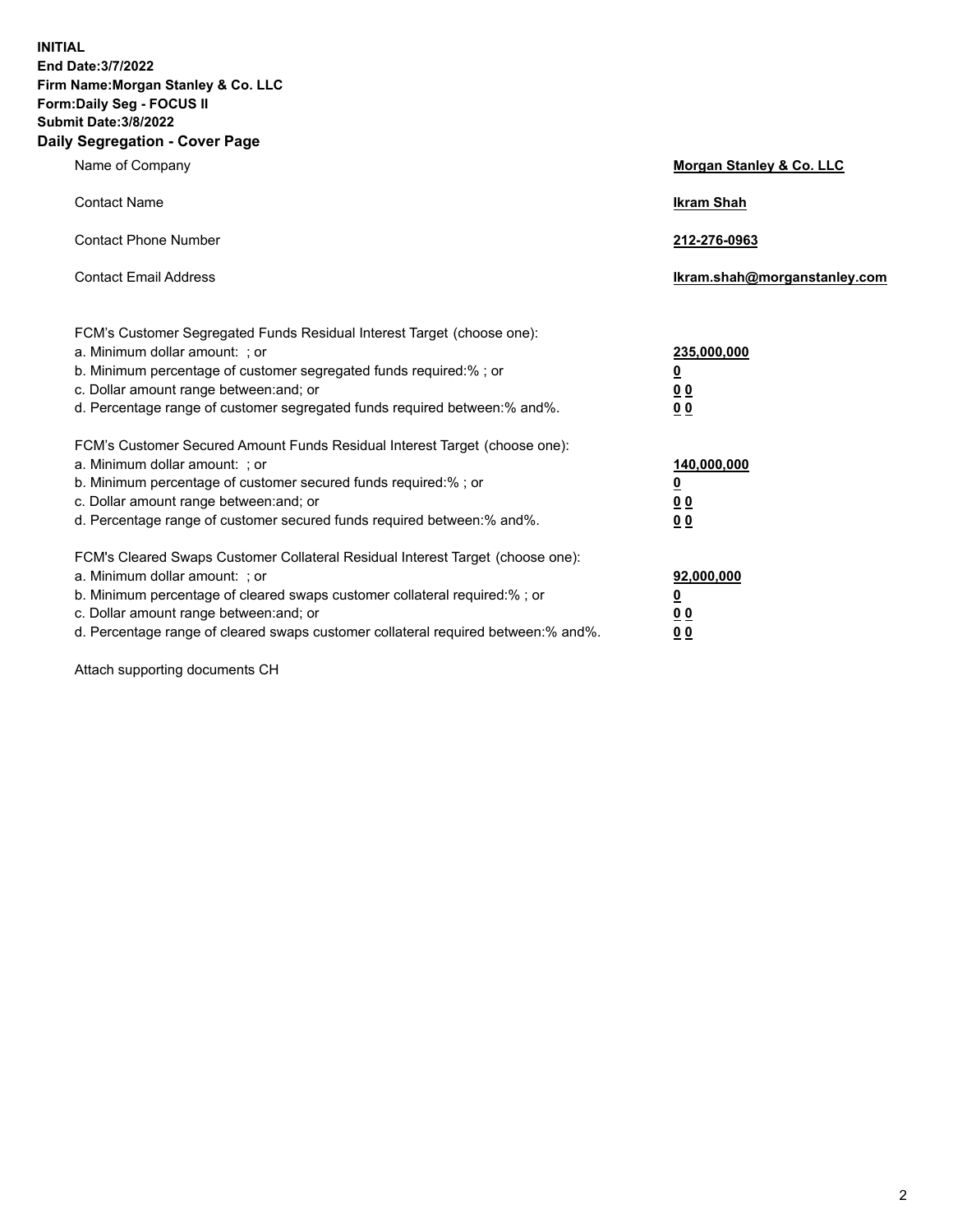**INITIAL End Date:3/7/2022 Firm Name:Morgan Stanley & Co. LLC Form:Daily Seg - FOCUS II Submit Date:3/8/2022 Daily Segregation - Cover Page**

| Name of Company                                                                                                                                                                                                                                                                                                               | Morgan Stanley & Co. LLC                                                     |
|-------------------------------------------------------------------------------------------------------------------------------------------------------------------------------------------------------------------------------------------------------------------------------------------------------------------------------|------------------------------------------------------------------------------|
| <b>Contact Name</b>                                                                                                                                                                                                                                                                                                           | <b>Ikram Shah</b>                                                            |
| <b>Contact Phone Number</b>                                                                                                                                                                                                                                                                                                   | 212-276-0963                                                                 |
| <b>Contact Email Address</b>                                                                                                                                                                                                                                                                                                  | Ikram.shah@morganstanley.com                                                 |
| FCM's Customer Segregated Funds Residual Interest Target (choose one):<br>a. Minimum dollar amount: ; or<br>b. Minimum percentage of customer segregated funds required:% ; or<br>c. Dollar amount range between: and; or<br>d. Percentage range of customer segregated funds required between: % and %.                      | 235,000,000<br><u>0</u><br><u>00</u><br>0 Q                                  |
| FCM's Customer Secured Amount Funds Residual Interest Target (choose one):<br>a. Minimum dollar amount: ; or<br>b. Minimum percentage of customer secured funds required:%; or<br>c. Dollar amount range between: and; or<br>d. Percentage range of customer secured funds required between:% and%.                           | 140,000,000<br><u>0</u><br>$\underline{0}$ $\underline{0}$<br>0 <sup>0</sup> |
| FCM's Cleared Swaps Customer Collateral Residual Interest Target (choose one):<br>a. Minimum dollar amount: ; or<br>b. Minimum percentage of cleared swaps customer collateral required:%; or<br>c. Dollar amount range between: and; or<br>d. Percentage range of cleared swaps customer collateral required between:% and%. | 92,000,000<br><u>0</u><br><u>00</u><br>00                                    |

Attach supporting documents CH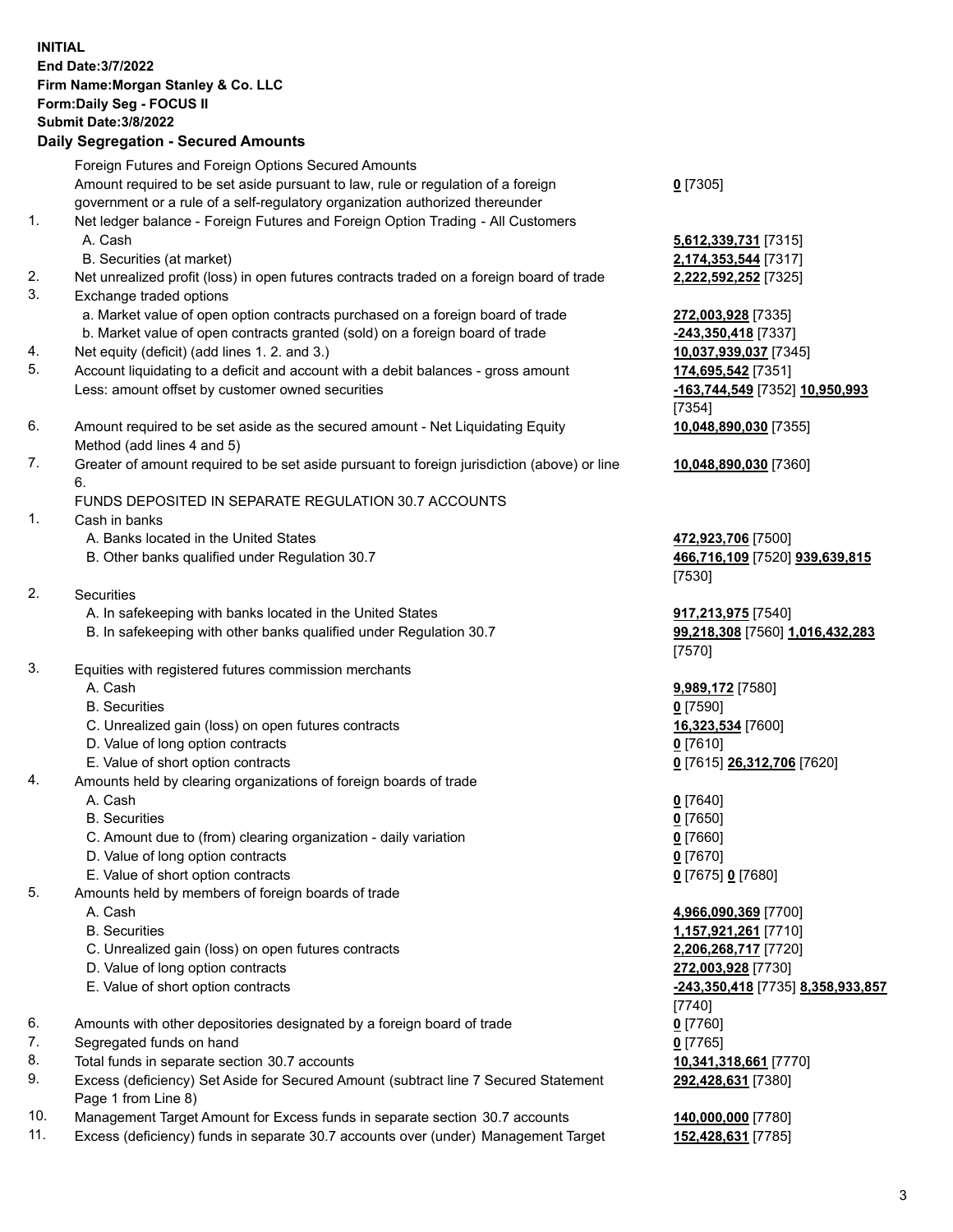|          | <b>INITIAL</b><br>End Date: 3/7/2022<br>Firm Name: Morgan Stanley & Co. LLC<br>Form: Daily Seg - FOCUS II<br><b>Submit Date: 3/8/2022</b><br><b>Daily Segregation - Secured Amounts</b> |                        |
|----------|-----------------------------------------------------------------------------------------------------------------------------------------------------------------------------------------|------------------------|
|          | Foreign Futures and Foreign Options Secured Amounts                                                                                                                                     |                        |
|          | Amount required to be set aside pursuant to law, rule or regulation of a foreign                                                                                                        | $0$ [7305]             |
|          | government or a rule of a self-regulatory organization authorized thereunder                                                                                                            |                        |
| 1.       | Net ledger balance - Foreign Futures and Foreign Option Trading - All Customers                                                                                                         |                        |
|          | A. Cash                                                                                                                                                                                 | 5,612,33               |
|          | B. Securities (at market)                                                                                                                                                               | 2,174,35               |
| 2.       | Net unrealized profit (loss) in open futures contracts traded on a foreign board of trade                                                                                               | 2,222,59               |
| 3.       | Exchange traded options                                                                                                                                                                 |                        |
|          | a. Market value of open option contracts purchased on a foreign board of trade                                                                                                          | 272,003                |
|          | b. Market value of open contracts granted (sold) on a foreign board of trade                                                                                                            | $-243,350$             |
| 4.<br>5. | Net equity (deficit) (add lines 1. 2. and 3.)<br>Account liquidating to a deficit and account with a debit balances - gross amount                                                      | 10,037,9<br>174,695    |
|          | Less: amount offset by customer owned securities                                                                                                                                        | $-163,744$             |
|          |                                                                                                                                                                                         | [7354]                 |
| 6.       | Amount required to be set aside as the secured amount - Net Liquidating Equity<br>Method (add lines 4 and 5)                                                                            | 10,048,8               |
| 7.       | Greater of amount required to be set aside pursuant to foreign jurisdiction (above) or line                                                                                             | 10,048,8               |
|          | 6.                                                                                                                                                                                      |                        |
|          | FUNDS DEPOSITED IN SEPARATE REGULATION 30.7 ACCOUNTS                                                                                                                                    |                        |
| 1.       | Cash in banks                                                                                                                                                                           |                        |
|          | A. Banks located in the United States                                                                                                                                                   | 472,923                |
|          | B. Other banks qualified under Regulation 30.7                                                                                                                                          | 466,716<br>$[7530]$    |
| 2.       | <b>Securities</b>                                                                                                                                                                       |                        |
|          | A. In safekeeping with banks located in the United States                                                                                                                               | 917,213                |
|          | B. In safekeeping with other banks qualified under Regulation 30.7                                                                                                                      | 99,218,3               |
|          |                                                                                                                                                                                         | $[7570]$               |
| 3.       | Equities with registered futures commission merchants                                                                                                                                   |                        |
|          | A. Cash<br><b>B.</b> Securities                                                                                                                                                         | 9,989,17<br>$0$ [7590] |
|          | C. Unrealized gain (loss) on open futures contracts                                                                                                                                     | 16.323.5               |
|          | D. Value of long option contracts                                                                                                                                                       | 0 [7610]               |
|          | E. Value of short option contracts                                                                                                                                                      | $0$ [7615]             |
| 4.       | Amounts held by clearing organizations of foreign boards of trade                                                                                                                       |                        |
|          | A. Cash                                                                                                                                                                                 | $0$ [7640]             |
|          | <b>B.</b> Securities                                                                                                                                                                    | $0$ [7650]             |
|          | C. Amount due to (from) clearing organization - daily variation                                                                                                                         | $0$ [7660]             |
|          | D. Value of long option contracts                                                                                                                                                       | 0 <sup>[7670]</sup>    |
|          | E. Value of short option contracts                                                                                                                                                      | $0$ [7675]             |
| 5.       | Amounts held by members of foreign boards of trade                                                                                                                                      |                        |
|          | A. Cash                                                                                                                                                                                 | 4,966,09               |
|          | <b>B.</b> Securities                                                                                                                                                                    | 1,157,92               |
|          | C. Unrealized gain (loss) on open futures contracts                                                                                                                                     | 2,206,26               |
|          | D. Value of long option contracts                                                                                                                                                       | 272,003                |
|          | E. Value of short option contracts                                                                                                                                                      | $-243,350$             |
| 6.       |                                                                                                                                                                                         | $[7740]$               |
| 7.       | Amounts with other depositories designated by a foreign board of trade<br>Segregated funds on hand                                                                                      | $0$ [7760]             |
|          |                                                                                                                                                                                         | $0$ [7765]             |

- 8. Total funds in separate section 30.7 accounts **10,341,318,661** [7770]
- 9. Excess (deficiency) Set Aside for Secured Amount (subtract line 7 Secured Statement Page 1 from Line 8)
- 10. Management Target Amount for Excess funds in separate section 30.7 accounts **140,000,000** [7780]
- 11. Excess (deficiency) funds in separate 30.7 accounts over (under) Management Target **152,428,631** [7785]

**0** [7305]

 A. Cash **5,612,339,731** [7315]  $B. 174, 353, 544$  [7317] 2. 222, 592, 252 [7325]

a. 72,003,928 [7335] **243,350,418** [7337] **0. 037,939,037** [7345] **74,695,542** [7351] Less: amount offset by customer owned securities **-163,744,549** [7352] **10,950,993** [7354] **10,048,890,030** [7355]

**10,048,890,030** [7360]

**72,923,706** [7500] B. Other banks qualified under Regulation 30.7 **466,716,109** [7520] **939,639,815** [7530]

A. 17,213,975 [7540] B. In safekeeping with other banks qualified under Regulation 30.7 **99,218,308** [7560] **1,016,432,283** [7570]

 A. Cash **9,989,172** [7580]  $6, 323, 534$  [7600] E. Value of short option contracts **0** [7615] **26,312,706** [7620]

E. Value of short option contracts **0** [7675] **0** [7680]

 A. Cash **4,966,090,369** [7700] B. Securities **1,157,921,261** [7710] C. 206,268,717 [7720]  $272,003,928$  [7730] E. Value of short option contracts **-243,350,418** [7735] **8,358,933,857** [7740] **292,428,631** [7380]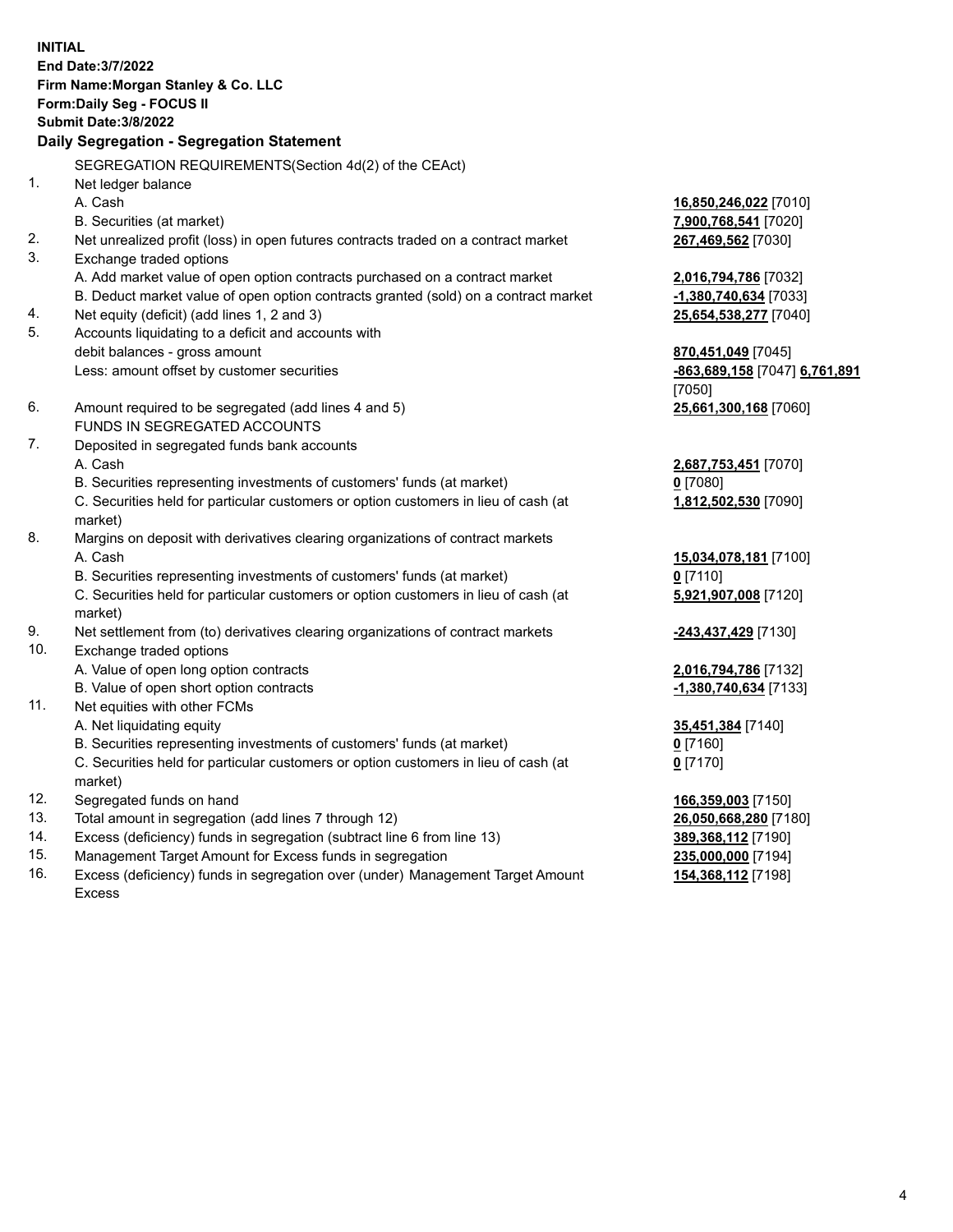**INITIAL End Date:3/7/2022 Firm Name:Morgan Stanley & Co. LLC Form:Daily Seg - FOCUS II Submit Date:3/8/2022 Daily Segregation - Segregation Statement** SEGREGATION REQUIREMENTS(Section 4d(2) of the CEAct) 1. Net ledger balance A. Cash **16,850,246,022** [7010] B. Securities (at market) **7,900,768,541** [7020] 2. Net unrealized profit (loss) in open futures contracts traded on a contract market **267,469,562** [7030] 3. Exchange traded options A. Add market value of open option contracts purchased on a contract market **2,016,794,786** [7032] B. Deduct market value of open option contracts granted (sold) on a contract market **-1,380,740,634** [7033] 4. Net equity (deficit) (add lines 1, 2 and 3) **25,654,538,277** [7040] 5. Accounts liquidating to a deficit and accounts with debit balances - gross amount **870,451,049** [7045] Less: amount offset by customer securities **-863,689,158** [7047] **6,761,891** [7050] 6. Amount required to be segregated (add lines 4 and 5) **25,661,300,168** [7060] FUNDS IN SEGREGATED ACCOUNTS 7. Deposited in segregated funds bank accounts A. Cash **2,687,753,451** [7070] B. Securities representing investments of customers' funds (at market) **0** [7080] C. Securities held for particular customers or option customers in lieu of cash (at market) **1,812,502,530** [7090] 8. Margins on deposit with derivatives clearing organizations of contract markets A. Cash **15,034,078,181** [7100] B. Securities representing investments of customers' funds (at market) **0** [7110] C. Securities held for particular customers or option customers in lieu of cash (at market) **5,921,907,008** [7120] 9. Net settlement from (to) derivatives clearing organizations of contract markets **-243,437,429** [7130] 10. Exchange traded options A. Value of open long option contracts **2,016,794,786** [7132] B. Value of open short option contracts **-1,380,740,634** [7133] 11. Net equities with other FCMs A. Net liquidating equity **35,451,384** [7140] B. Securities representing investments of customers' funds (at market) **0** [7160] C. Securities held for particular customers or option customers in lieu of cash (at market) **0** [7170] 12. Segregated funds on hand **166,359,003** [7150] 13. Total amount in segregation (add lines 7 through 12) **26,050,668,280** [7180] 14. Excess (deficiency) funds in segregation (subtract line 6 from line 13) **389,368,112** [7190] 15. Management Target Amount for Excess funds in segregation **235,000,000** [7194]

16. Excess (deficiency) funds in segregation over (under) Management Target Amount Excess

**154,368,112** [7198]